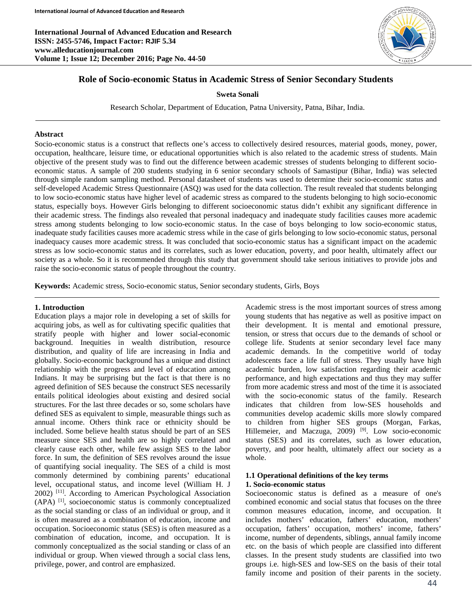**International Journal of Advanced Education and Research ISSN: 2455-5746, Impact Factor: RJIF 5.34 www.alleducationjournal.com Volume 1; Issue 12; December 2016; Page No. 44-50**



## **Role of Socio-economic Status in Academic Stress of Senior Secondary Students**

#### **Sweta Sonali**

Research Scholar, Department of Education, Patna University, Patna, Bihar, India.

#### **Abstract**

Socio-economic status is a construct that reflects one's access to collectively desired resources, material goods, money, power, occupation, healthcare, leisure time, or educational opportunities which is also related to the academic stress of students. Main objective of the present study was to find out the difference between academic stresses of students belonging to different socioeconomic status. A sample of 200 students studying in 6 senior secondary schools of Samastipur (Bihar, India) was selected through simple random sampling method. Personal datasheet of students was used to determine their socio-economic status and self-developed Academic Stress Questionnaire (ASQ) was used for the data collection. The result revealed that students belonging to low socio-economic status have higher level of academic stress as compared to the students belonging to high socio-economic status, especially boys. However Girls belonging to different socioeconomic status didn't exhibit any significant difference in their academic stress. The findings also revealed that personal inadequacy and inadequate study facilities causes more academic stress among students belonging to low socio-economic status. In the case of boys belonging to low socio-economic status, inadequate study facilities causes more academic stress while in the case of girls belonging to low socio-economic status, personal inadequacy causes more academic stress. It was concluded that socio-economic status has a significant impact on the academic stress as low socio-economic status and its correlates, such as lower education, poverty, and poor health, ultimately affect our society as a whole. So it is recommended through this study that government should take serious initiatives to provide jobs and raise the socio-economic status of people throughout the country.

**Keywords:** Academic stress, Socio-economic status, Senior secondary students, Girls, Boys

#### **1. Introduction**

Education plays a major role in developing a set of skills for acquiring jobs, as well as for cultivating specific qualities that stratify people with higher and lower social-economic background. Inequities in wealth distribution, resource distribution, and quality of life are increasing in India and globally. Socio-economic background has a unique and distinct relationship with the progress and level of education among Indians. It may be surprising but the fact is that there is no agreed definition of SES because the construct SES necessarily entails political ideologies about existing and desired social structures. For the last three decades or so, some scholars have defined SES as equivalent to simple, measurable things such as annual income. Others think race or ethnicity should be included. Some believe health status should be part of an SES measure since SES and health are so highly correlated and clearly cause each other, while few assign SES to the labor force. In sum, the definition of SES revolves around the issue of quantifying social inequality. The SES of a child is most commonly determined by combining parents' educational level, occupational status, and income level (William H. J 2002) [11] . According to American Psychological Association (APA) [1], socioeconomic status is commonly conceptualized as the social standing or class of an individual or group, and it is often measured as a combination of education, income and occupation. Socioeconomic status (SES) is often measured as a combination of education, income, and occupation. It is commonly conceptualized as the social standing or class of an individual or group. When viewed through a social class lens, privilege, power, and control are emphasized.

Academic stress is the most important sources of stress among young students that has negative as well as positive impact on their development. It is mental and emotional pressure, tension, or stress that occurs due to the demands of school or college life. Students at senior secondary level face many academic demands. In the competitive world of today adolescents face a life full of stress. They usually have high academic burden, low satisfaction regarding their academic performance, and high expectations and thus they may suffer from more academic stress and most of the time it is associated with the socio-economic status of the family. Research indicates that children from low-SES households and communities develop academic skills more slowly compared to children from higher SES groups (Morgan, Farkas, Hillemeier, and Maczuga, 2009)<sup>[9]</sup>. Low socio-economic status (SES) and its correlates, such as lower education, poverty, and poor health, ultimately affect our society as a whole.

#### **1.1 Operational definitions of the key terms 1. Socio-economic status**

Socioeconomic status is defined as a measure of one's combined economic and social status that focuses on the three common measures education, income, and occupation. It includes mothers' education, fathers' education, mothers' occupation, fathers' occupation, mothers' income, fathers' income, number of dependents, siblings, annual family income etc. on the basis of which people are classified into different classes. In the present study students are classified into two groups i.e. high-SES and low-SES on the basis of their total family income and position of their parents in the society.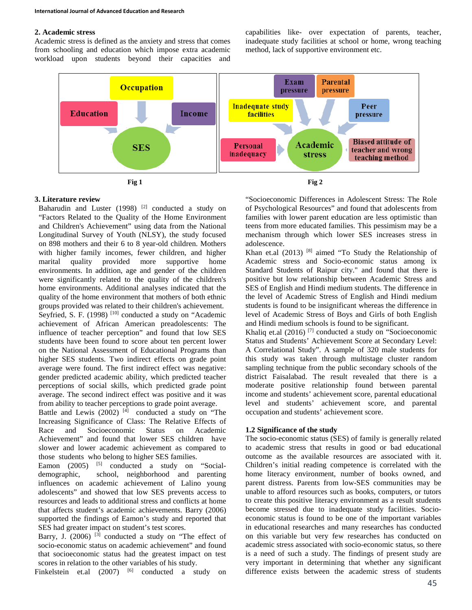### **2. Academic stress**

Academic stress is defined as the anxiety and stress that comes from schooling and education which impose extra academic workload upon students beyond their capacities and capabilities like- over expectation of parents, teacher, inadequate study facilities at school or home, wrong teaching method, lack of supportive environment etc.



### **3. Literature review**

Baharudin and Luster (1998)  $[2]$  conducted a study on "Factors Related to the Quality of the Home Environment and Children's Achievement" using data from the National Longitudinal Survey of Youth (NLSY), the study focused on 898 mothers and their 6 to 8 year-old children. Mothers with higher family incomes, fewer children, and higher marital quality provided more supportive home environments. In addition, age and gender of the children were significantly related to the quality of the children's home environments. Additional analyses indicated that the quality of the home environment that mothers of both ethnic groups provided was related to their children's achievement. Seyfried, S. F. (1998)<sup>[10]</sup> conducted a study on "Academic achievement of African American preadolescents: The influence of teacher perception" and found that low SES students have been found to score about ten percent lower on the National Assessment of Educational Programs than higher SES students. Two indirect effects on grade point average were found. The first indirect effect was negative: gender predicted academic ability, which predicted teacher perceptions of social skills, which predicted grade point average. The second indirect effect was positive and it was from ability to teacher perceptions to grade point average.

Battle and Lewis  $(2002)$  [4] conducted a study on "The Increasing Significance of Class: The Relative Effects of Race and Socioeconomic Status on Academic Achievement" and found that lower SES children have slower and lower academic achievement as compared to those students who belong to higher SES families.

Eamon  $(2005)$  <sup>[5]</sup> conducted a study on "Socialdemographic, school, neighborhood and parenting influences on academic achievement of Lalino young adolescents" and showed that low SES prevents access to resources and leads to additional stress and conflicts at home that affects student's academic achievements. Barry (2006) supported the findings of Eamon's study and reported that SES had greater impact on student's test scores.

Barry, J.  $(2006)$  <sup>[3]</sup> conducted a study on "The effect of socio-economic status on academic achievement" and found that socioeconomic status had the greatest impact on test scores in relation to the other variables of his study.

Finkelstein et.al  $(2007)$  <sup>[6]</sup> conducted a study on

"Socioeconomic Differences in Adolescent Stress: The Role of Psychological Resources" and found that adolescents from families with lower parent education are less optimistic than teens from more educated families. This pessimism may be a mechanism through which lower SES increases stress in adolescence.

Khan et.al  $(2013)$ <sup>[8]</sup> aimed "To Study the Relationship of Academic stress and Socio-economic status among ix Standard Students of Raipur city." and found that there is positive but low relationship between Academic Stress and SES of English and Hindi medium students. The difference in the level of Academic Stress of English and Hindi medium students is found to be insignificant whereas the difference in level of Academic Stress of Boys and Girls of both English and Hindi medium schools is found to be significant.

Khaliq et.al (2016) [7] conducted a study on "Socioeconomic Status and Students' Achievement Score at Secondary Level: A Correlational Study". A sample of 320 male students for this study was taken through multistage cluster random sampling technique from the public secondary schools of the district Faisalabad. The result revealed that there is a moderate positive relationship found between parental income and students' achievement score, parental educational level and students' achievement score, and parental occupation and students' achievement score.

### **1.2 Significance of the study**

The socio-economic status (SES) of family is generally related to academic stress that results in good or bad educational outcome as the available resources are associated with it. Children's initial reading competence is correlated with the home literacy environment, number of books owned, and parent distress. Parents from low-SES communities may be unable to afford resources such as books, computers, or tutors to create this positive literacy environment as a result students become stressed due to inadequate study facilities. Socioeconomic status is found to be one of the important variables in educational researches and many researches has conducted on this variable but very few researches has conducted on academic stress associated with socio-economic status, so there is a need of such a study. The findings of present study are very important in determining that whether any significant difference exists between the academic stress of students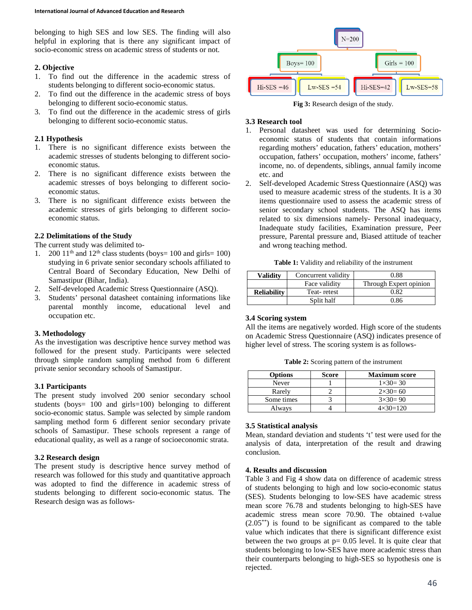belonging to high SES and low SES. The finding will also helpful in exploring that is there any significant impact of socio-economic stress on academic stress of students or not.

### **2. Objective**

- 1. To find out the difference in the academic stress of students belonging to different socio-economic status.
- 2. To find out the difference in the academic stress of boys belonging to different socio-economic status.
- 3. To find out the difference in the academic stress of girls belonging to different socio-economic status.

### **2.1 Hypothesis**

- 1. There is no significant difference exists between the academic stresses of students belonging to different socioeconomic status.
- 2. There is no significant difference exists between the academic stresses of boys belonging to different socioeconomic status.
- 3. There is no significant difference exists between the academic stresses of girls belonging to different socioeconomic status.

### **2.2 Delimitations of the Study**

The current study was delimited to-

- 1. 200 11<sup>th</sup> and 12<sup>th</sup> class students (boys= 100 and girls= 100) studying in 6 private senior secondary schools affiliated to Central Board of Secondary Education, New Delhi of Samastipur (Bihar, India).
- 2. Self-developed Academic Stress Questionnaire (ASQ).
- 3. Students' personal datasheet containing informations like parental monthly income, educational level and occupation etc.

#### **3. Methodology**

As the investigation was descriptive hence survey method was followed for the present study. Participants were selected through simple random sampling method from 6 different private senior secondary schools of Samastipur.

### **3.1 Participants**

The present study involved 200 senior secondary school students (boys= 100 and girls=100) belonging to different socio-economic status. Sample was selected by simple random sampling method form 6 different senior secondary private schools of Samastipur. These schools represent a range of educational quality, as well as a range of socioeconomic strata.

### **3.2 Research design**

The present study is descriptive hence survey method of research was followed for this study and quantitative approach was adopted to find the difference in academic stress of students belonging to different socio-economic status. The Research design was as follows-



#### **Fig 3:** Research design of the study.

### **3.3 Research tool**

- 1. Personal datasheet was used for determining Socioeconomic status of students that contain informations regarding mothers' education, fathers' education, mothers' occupation, fathers' occupation, mothers' income, fathers' income, no. of dependents, siblings, annual family income etc. and
- 2. Self-developed Academic Stress Questionnaire (ASQ) was used to measure academic stress of the students. It is a 30 items questionnaire used to assess the academic stress of senior secondary school students. The ASQ has items related to six dimensions namely- Personal inadequacy, Inadequate study facilities, Examination pressure, Peer pressure, Parental pressure and, Biased attitude of teacher and wrong teaching method.

**Table 1:** Validity and reliability of the instrument

| <b>Validity</b>    | Concurrent validity | 0.88                   |
|--------------------|---------------------|------------------------|
|                    | Face validity       | Through Expert opinion |
| <b>Reliability</b> | Teat-retest         | 0.82                   |
|                    | Split half          | 0.86                   |

#### **3.4 Scoring system**

All the items are negatively worded. High score of the students on Academic Stress Questionnaire (ASQ) indicates presence of higher level of stress. The scoring system is as follows-

**Table 2:** Scoring pattern of the instrument

| <b>Options</b> | Score | <b>Maximum score</b> |
|----------------|-------|----------------------|
| Never          |       | $1 \times 30 = 30$   |
| Rarely         |       | $2 \times 30 = 60$   |
| Some times     |       | $3 \times 30 = 90$   |
| Always         |       | $4 \times 30 = 120$  |

### **3.5 Statistical analysis**

Mean, standard deviation and students 't' test were used for the analysis of data, interpretation of the result and drawing conclusion.

### **4. Results and discussion**

Table 3 and Fig 4 show data on difference of academic stress of students belonging to high and low socio-economic status (SES). Students belonging to low-SES have academic stress mean score 76.78 and students belonging to high-SES have academic stress mean score 70.90. The obtained t-value  $(2.05^{**})$  is found to be significant as compared to the table value which indicates that there is significant difference exist between the two groups at  $p = 0.05$  level. It is quite clear that students belonging to low-SES have more academic stress than their counterparts belonging to high-SES so hypothesis one is rejected.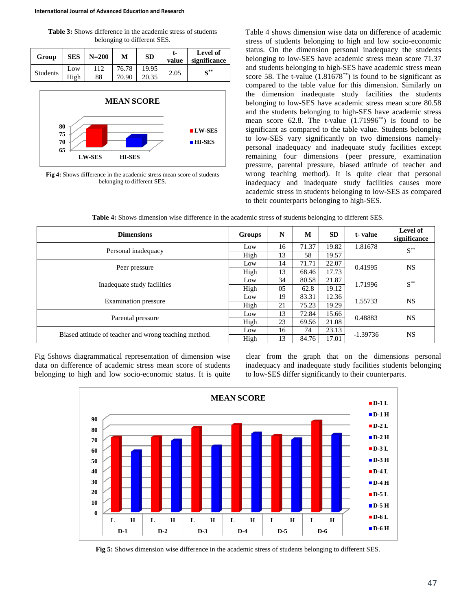**Table 3:** Shows difference in the academic stress of students belonging to different SES.

| Group           | <b>SES</b> | $N=200$ | М     | <b>SD</b> | t-<br>value | Level of<br>significance |
|-----------------|------------|---------|-------|-----------|-------------|--------------------------|
|                 | Low        | 112     | 76.78 | 19.95     | 2.05        | $S^{**}$                 |
| <b>Students</b> | High       | 88      | 70.90 | 20.35     |             |                          |



**Fig 4:** Shows difference in the academic stress mean score of students belonging to different SES.

Table 4 shows dimension wise data on difference of academic stress of students belonging to high and low socio-economic status. On the dimension personal inadequacy the students belonging to low-SES have academic stress mean score 71.37 and students belonging to high-SES have academic stress mean score 58. The t-value  $(1.81678^{**})$  is found to be significant as compared to the table value for this dimension. Similarly on the dimension inadequate study facilities the students belonging to low-SES have academic stress mean score 80.58 and the students belonging to high-SES have academic stress mean score  $62.8$ . The t-value  $(1.71996^{**})$  is found to be significant as compared to the table value. Students belonging to low-SES vary significantly on two dimensions namelypersonal inadequacy and inadequate study facilities except remaining four dimensions (peer pressure, examination pressure, parental pressure, biased attitude of teacher and wrong teaching method). It is quite clear that personal inadequacy and inadequate study facilities causes more academic stress in students belonging to low-SES as compared to their counterparts belonging to high-SES.

| <b>Dimensions</b>                                     | <b>Groups</b> | N  | M     | <b>SD</b> | t-value    | <b>Level of</b><br>significance |
|-------------------------------------------------------|---------------|----|-------|-----------|------------|---------------------------------|
| Personal inadequacy                                   | Low           | 16 | 71.37 | 19.82     | 1.81678    | $\textbf{S}^{**}$               |
|                                                       | High          | 13 | 58    | 19.57     |            |                                 |
|                                                       | Low           | 14 | 71.71 | 22.07     | 0.41995    | <b>NS</b>                       |
| Peer pressure                                         | High          | 13 | 68.46 | 17.73     |            |                                 |
|                                                       | Low           | 34 | 80.58 | 21.87     | 1.71996    | $\textbf{S}^{**}$               |
| Inadequate study facilities                           | High          | 05 | 62.8  | 19.12     |            |                                 |
|                                                       | Low           | 19 | 83.31 | 12.36     | 1.55733    | <b>NS</b>                       |
| <b>Examination</b> pressure                           | High          | 21 | 75.23 | 19.29     |            |                                 |
|                                                       | Low           | 13 | 72.84 | 15.66     | 0.48883    | <b>NS</b>                       |
| Parental pressure                                     | High          | 23 | 69.56 | 21.08     |            |                                 |
|                                                       | Low           | 16 | 74    | 23.13     | $-1.39736$ |                                 |
| Biased attitude of teacher and wrong teaching method. | High          | 13 | 84.76 | 17.01     |            | <b>NS</b>                       |

**Table 4:** Shows dimension wise difference in the academic stress of students belonging to different SES.

Fig 5shows diagrammatical representation of dimension wise data on difference of academic stress mean score of students belonging to high and low socio-economic status. It is quite clear from the graph that on the dimensions personal inadequacy and inadequate study facilities students belonging to low-SES differ significantly to their counterparts.



**Fig 5:** Shows dimension wise difference in the academic stress of students belonging to different SES.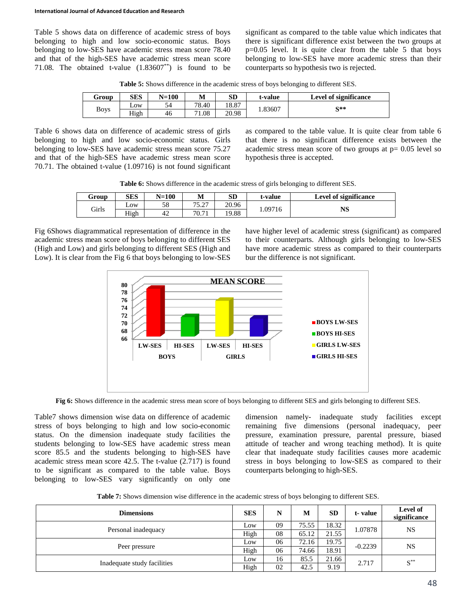Table 5 shows data on difference of academic stress of boys belonging to high and low socio-economic status. Boys belonging to low-SES have academic stress mean score 78.40 and that of the high-SES have academic stress mean score 71.08. The obtained t-value  $(1.83607^{**})$  is found to be significant as compared to the table value which indicates that there is significant difference exist between the two groups at p=0.05 level. It is quite clear from the table 5 that boys belonging to low-SES have more academic stress than their counterparts so hypothesis two is rejected.

**Table 5:** Shows difference in the academic stress of boys belonging to different SES.

| Group       | <b>SES</b>       | $N=100$ | М     | <b>SD</b> | t-value | <b>Level of significance</b> |
|-------------|------------------|---------|-------|-----------|---------|------------------------------|
| <b>Boys</b> | L <sub>0</sub> W | ◡       | 78.40 | 18.87     | 1.83607 | €**                          |
|             | High             | 46      | 71.08 | 20.98     |         |                              |

Table 6 shows data on difference of academic stress of girls belonging to high and low socio-economic status. Girls belonging to low-SES have academic stress mean score 75.27 and that of the high-SES have academic stress mean score 70.71. The obtained t-value (1.09716) is not found significant

as compared to the table value. It is quite clear from table 6 that there is no significant difference exists between the academic stress mean score of two groups at  $p = 0.05$  level so hypothesis three is accepted.

| <b>Table 6:</b> Shows difference in the academic stress of girls belonging to different SES. |  |  |  |  |
|----------------------------------------------------------------------------------------------|--|--|--|--|
|----------------------------------------------------------------------------------------------|--|--|--|--|

| Group        | <b>SES</b> | $N=100$ | М               | SD    | t-value | Level of significance |
|--------------|------------|---------|-----------------|-------|---------|-----------------------|
| <b>Girls</b> | Low        | 58      | 75.07<br>، سەرب | 20.96 | .09716  |                       |
|              | High       | 42      | 70.71           | 19.88 |         |                       |

Fig 6Shows diagrammatical representation of difference in the academic stress mean score of boys belonging to different SES (High and Low) and girls belonging to different SES (High and Low). It is clear from the Fig 6 that boys belonging to low-SES have higher level of academic stress (significant) as compared to their counterparts. Although girls belonging to low-SES have more academic stress as compared to their counterparts bur the difference is not significant.



**Fig 6:** Shows difference in the academic stress mean score of boys belonging to different SES and girls belonging to different SES.

Table7 shows dimension wise data on difference of academic stress of boys belonging to high and low socio-economic status. On the dimension inadequate study facilities the students belonging to low-SES have academic stress mean score 85.5 and the students belonging to high-SES have academic stress mean score 42.5. The t-value (2.717) is found to be significant as compared to the table value. Boys belonging to low-SES vary significantly on only one dimension namely- inadequate study facilities except remaining five dimensions (personal inadequacy, peer pressure, examination pressure, parental pressure, biased attitude of teacher and wrong teaching method). It is quite clear that inadequate study facilities causes more academic stress in boys belonging to low-SES as compared to their counterparts belonging to high-SES.

**Table 7:** Shows dimension wise difference in the academic stress of boys belonging to different SES.

| <b>Dimensions</b>           | <b>SES</b> | N  | M     | <b>SD</b> | t-value   | Level of<br>significance |
|-----------------------------|------------|----|-------|-----------|-----------|--------------------------|
| Personal inadequacy         | Low        | 09 | 75.55 | 18.32     | 1.07878   | NS                       |
|                             | High       | 08 | 65.12 | 21.55     |           |                          |
|                             | Low        | 06 | 72.16 | 19.75     | $-0.2239$ | NS                       |
| Peer pressure               | High       | 06 | 74.66 | 18.91     |           |                          |
| Inadequate study facilities | Low        | 16 | 85.5  | 21.66     | 2.717     | $\textbf{S}^{**}$        |
|                             | High       | 02 | 42.5  | 9.19      |           |                          |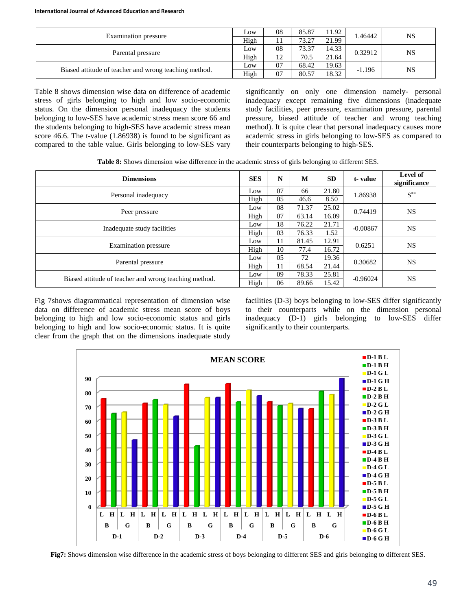| Examination pressure                                  |      | 08 | 85.87 | 11.92 | .46442   | <b>NS</b> |
|-------------------------------------------------------|------|----|-------|-------|----------|-----------|
|                                                       |      |    | 73.27 | 21.99 |          |           |
| Parental pressure                                     |      | 08 | 73.37 | 14.33 | 0.32912  | <b>NS</b> |
|                                                       |      | 12 | 70.5  | 21.64 |          |           |
|                                                       | Low  | 07 | 68.42 | 19.63 | $-1.196$ | <b>NS</b> |
| Biased attitude of teacher and wrong teaching method. | High | 07 | 80.57 | 18.32 |          |           |

Table 8 shows dimension wise data on difference of academic stress of girls belonging to high and low socio-economic status. On the dimension personal inadequacy the students belonging to low-SES have academic stress mean score 66 and the students belonging to high-SES have academic stress mean score 46.6. The t-value (1.86938) is found to be significant as compared to the table value. Girls belonging to low-SES vary significantly on only one dimension namely- personal inadequacy except remaining five dimensions (inadequate study facilities, peer pressure, examination pressure, parental pressure, biased attitude of teacher and wrong teaching method). It is quite clear that personal inadequacy causes more academic stress in girls belonging to low-SES as compared to their counterparts belonging to high-SES.

**Table 8:** Shows dimension wise difference in the academic stress of girls belonging to different SES.

| <b>Dimensions</b>                                     | <b>SES</b> | N  | M     | <b>SD</b> | t-value    | Level of<br>significance |
|-------------------------------------------------------|------------|----|-------|-----------|------------|--------------------------|
| Personal inadequacy                                   | Low        | 07 | 66    | 21.80     | 1.86938    | $\textbf{S}^{**}$        |
|                                                       | High       | 05 | 46.6  | 8.50      |            |                          |
|                                                       |            | 08 | 71.37 | 25.02     |            |                          |
| Peer pressure                                         | High       | 07 | 63.14 | 16.09     | 0.74419    | <b>NS</b>                |
|                                                       | Low        | 18 | 76.22 | 21.71     | $-0.00867$ | <b>NS</b>                |
| Inadequate study facilities                           | High       | 03 | 76.33 | 1.52      |            |                          |
|                                                       | Low        | 11 | 81.45 | 12.91     | 0.6251     | <b>NS</b>                |
| Examination pressure                                  | High       | 10 | 77.4  | 16.72     |            |                          |
|                                                       | Low        | 05 | 72    | 19.36     | 0.30682    |                          |
| Parental pressure                                     | High       | 11 | 68.54 | 21.44     |            | <b>NS</b>                |
|                                                       | Low        | 09 | 78.33 | 25.81     | $-0.96024$ |                          |
| Biased attitude of teacher and wrong teaching method. | High       | 06 | 89.66 | 15.42     |            | <b>NS</b>                |

Fig 7shows diagrammatical representation of dimension wise data on difference of academic stress mean score of boys belonging to high and low socio-economic status and girls belonging to high and low socio-economic status. It is quite clear from the graph that on the dimensions inadequate study facilities (D-3) boys belonging to low-SES differ significantly to their counterparts while on the dimension personal inadequacy (D-1) girls belonging to low-SES differ significantly to their counterparts.



**Fig7:** Shows dimension wise difference in the academic stress of boys belonging to different SES and girls belonging to different SES.